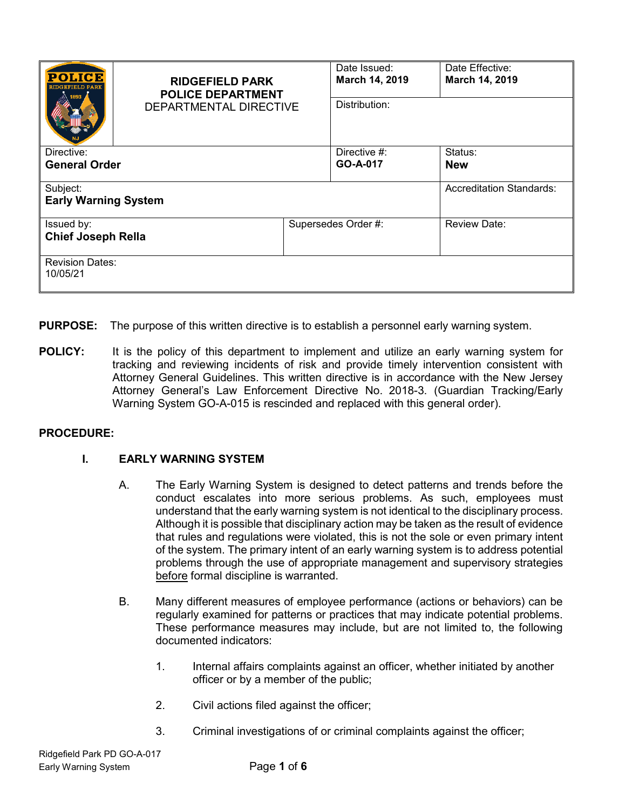| <b>POLICE</b><br>RIDGREIELD PARK        | <b>RIDGEFIELD PARK</b><br><b>POLICE DEPARTMENT</b><br>DEPARTMENTAL DIRECTIVE |                     | Date Issued:<br>March 14, 2019<br>Distribution: | Date Effective:<br>March 14, 2019 |
|-----------------------------------------|------------------------------------------------------------------------------|---------------------|-------------------------------------------------|-----------------------------------|
| Directive:                              |                                                                              |                     | Directive $#$ :                                 | Status:                           |
| <b>General Order</b>                    |                                                                              |                     | GO-A-017                                        | <b>New</b>                        |
| Subject:<br><b>Early Warning System</b> |                                                                              |                     |                                                 | Accreditation Standards:          |
| Issued by:<br><b>Chief Joseph Rella</b> |                                                                              | Supersedes Order #: |                                                 | <b>Review Date:</b>               |
| <b>Revision Dates:</b><br>10/05/21      |                                                                              |                     |                                                 |                                   |

- **PURPOSE:** The purpose of this written directive is to establish a personnel early warning system.
- **POLICY:** It is the policy of this department to implement and utilize an early warning system for tracking and reviewing incidents of risk and provide timely intervention consistent with Attorney General Guidelines. This written directive is in accordance with the New Jersey Attorney General's Law Enforcement Directive No. 2018-3. (Guardian Tracking/Early Warning System GO-A-015 is rescinded and replaced with this general order).

#### **PROCEDURE:**

### **I. EARLY WARNING SYSTEM**

- A. The Early Warning System is designed to detect patterns and trends before the conduct escalates into more serious problems. As such, employees must understand that the early warning system is not identical to the disciplinary process. Although it is possible that disciplinary action may be taken as the result of evidence that rules and regulations were violated, this is not the sole or even primary intent of the system. The primary intent of an early warning system is to address potential problems through the use of appropriate management and supervisory strategies before formal discipline is warranted.
- B. Many different measures of employee performance (actions or behaviors) can be regularly examined for patterns or practices that may indicate potential problems. These performance measures may include, but are not limited to, the following documented indicators:
	- 1. Internal affairs complaints against an officer, whether initiated by another officer or by a member of the public;
	- 2. Civil actions filed against the officer;
	- 3. Criminal investigations of or criminal complaints against the officer;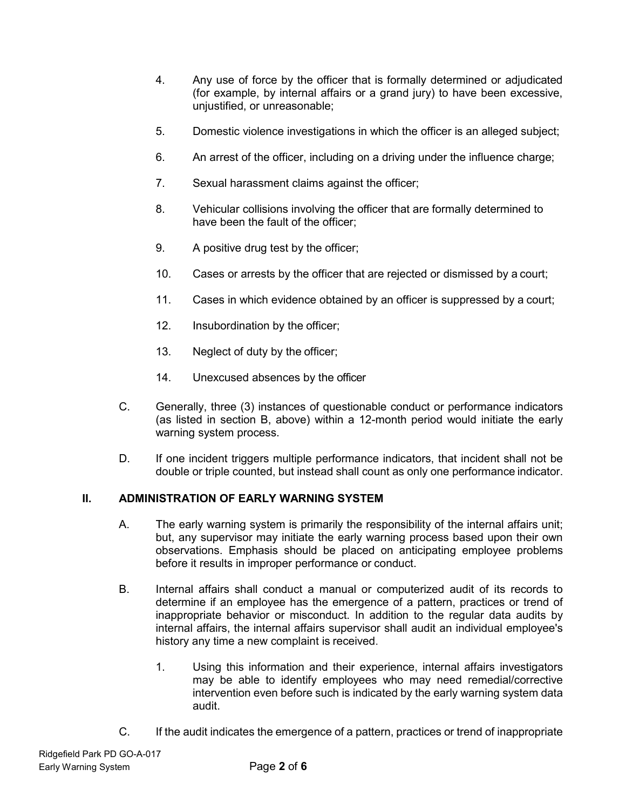- 4. Any use of force by the officer that is formally determined or adjudicated (for example, by internal affairs or a grand jury) to have been excessive, unjustified, or unreasonable;
- 5. Domestic violence investigations in which the officer is an alleged subject;
- 6. An arrest of the officer, including on a driving under the influence charge;
- 7. Sexual harassment claims against the officer;
- 8. Vehicular collisions involving the officer that are formally determined to have been the fault of the officer;
- 9. A positive drug test by the officer;
- 10. Cases or arrests by the officer that are rejected or dismissed by a court;
- 11. Cases in which evidence obtained by an officer is suppressed by a court;
- 12. Insubordination by the officer;
- 13. Neglect of duty by the officer;
- 14. Unexcused absences by the officer
- C. Generally, three (3) instances of questionable conduct or performance indicators (as listed in section B, above) within a 12-month period would initiate the early warning system process.
- D. If one incident triggers multiple performance indicators, that incident shall not be double or triple counted, but instead shall count as only one performance indicator.

### **II. ADMINISTRATION OF EARLY WARNING SYSTEM**

- A. The early warning system is primarily the responsibility of the internal affairs unit; but, any supervisor may initiate the early warning process based upon their own observations. Emphasis should be placed on anticipating employee problems before it results in improper performance or conduct.
- B. Internal affairs shall conduct a manual or computerized audit of its records to determine if an employee has the emergence of a pattern, practices or trend of inappropriate behavior or misconduct. In addition to the regular data audits by internal affairs, the internal affairs supervisor shall audit an individual employee's history any time a new complaint is received.
	- 1. Using this information and their experience, internal affairs investigators may be able to identify employees who may need remedial/corrective intervention even before such is indicated by the early warning system data audit.
- C. If the audit indicates the emergence of a pattern, practices or trend of inappropriate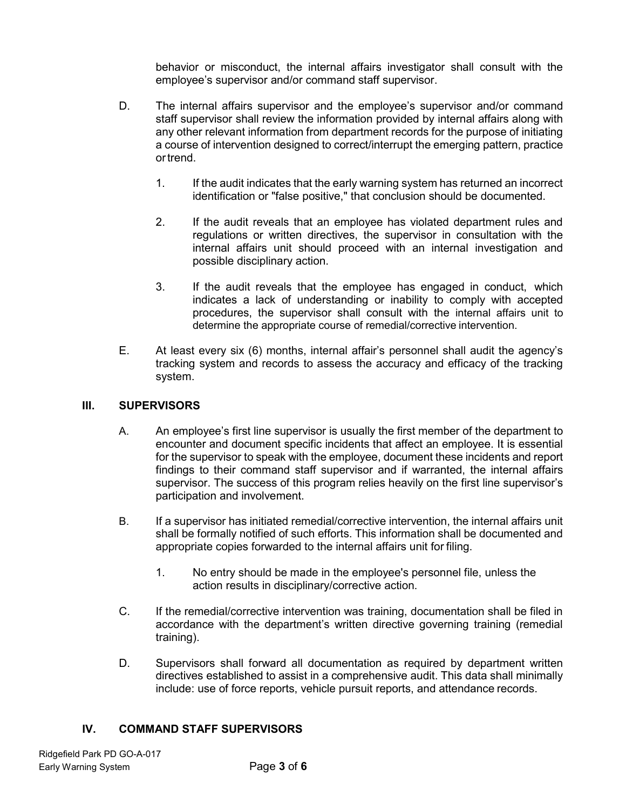behavior or misconduct, the internal affairs investigator shall consult with the employee's supervisor and/or command staff supervisor.

- D. The internal affairs supervisor and the employee's supervisor and/or command staff supervisor shall review the information provided by internal affairs along with any other relevant information from department records for the purpose of initiating a course of intervention designed to correct/interrupt the emerging pattern, practice ortrend.
	- 1. If the audit indicates that the early warning system has returned an incorrect identification or "false positive," that conclusion should be documented.
	- 2. If the audit reveals that an employee has violated department rules and regulations or written directives, the supervisor in consultation with the internal affairs unit should proceed with an internal investigation and possible disciplinary action.
	- 3. If the audit reveals that the employee has engaged in conduct, which indicates a lack of understanding or inability to comply with accepted procedures, the supervisor shall consult with the internal affairs unit to determine the appropriate course of remedial/corrective intervention.
- E. At least every six (6) months, internal affair's personnel shall audit the agency's tracking system and records to assess the accuracy and efficacy of the tracking system.

#### **III. SUPERVISORS**

- A. An employee's first line supervisor is usually the first member of the department to encounter and document specific incidents that affect an employee. It is essential for the supervisor to speak with the employee, document these incidents and report findings to their command staff supervisor and if warranted, the internal affairs supervisor. The success of this program relies heavily on the first line supervisor's participation and involvement.
- B. If a supervisor has initiated remedial/corrective intervention, the internal affairs unit shall be formally notified of such efforts. This information shall be documented and appropriate copies forwarded to the internal affairs unit for filing.
	- 1. No entry should be made in the employee's personnel file, unless the action results in disciplinary/corrective action.
- C. If the remedial/corrective intervention was training, documentation shall be filed in accordance with the department's written directive governing training (remedial training).
- D. Supervisors shall forward all documentation as required by department written directives established to assist in a comprehensive audit. This data shall minimally include: use of force reports, vehicle pursuit reports, and attendance records.

### **IV. COMMAND STAFF SUPERVISORS**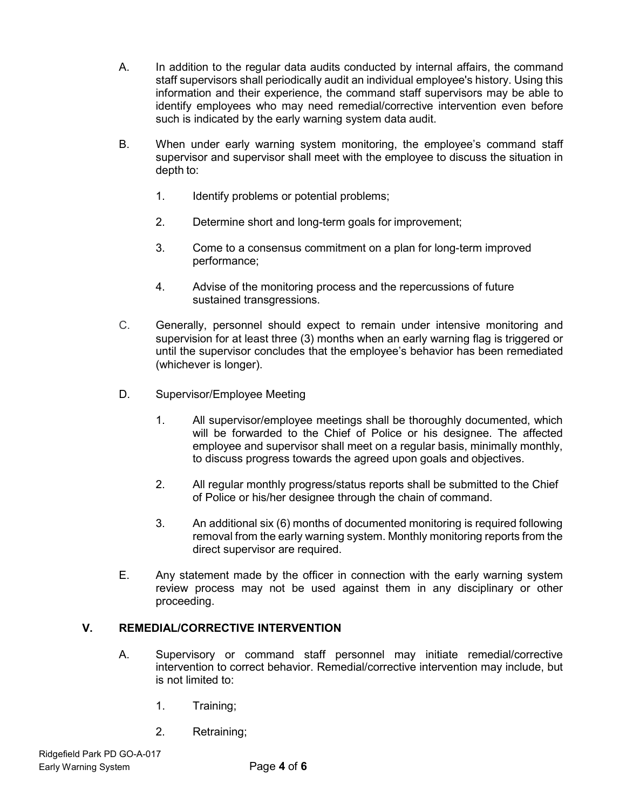- A. In addition to the regular data audits conducted by internal affairs, the command staff supervisors shall periodically audit an individual employee's history. Using this information and their experience, the command staff supervisors may be able to identify employees who may need remedial/corrective intervention even before such is indicated by the early warning system data audit.
- B. When under early warning system monitoring, the employee's command staff supervisor and supervisor shall meet with the employee to discuss the situation in depth to:
	- 1. Identify problems or potential problems;
	- 2. Determine short and long-term goals for improvement;
	- 3. Come to a consensus commitment on a plan for long-term improved performance;
	- 4. Advise of the monitoring process and the repercussions of future sustained transgressions.
- C. Generally, personnel should expect to remain under intensive monitoring and supervision for at least three (3) months when an early warning flag is triggered or until the supervisor concludes that the employee's behavior has been remediated (whichever is longer).
- D. Supervisor/Employee Meeting
	- 1. All supervisor/employee meetings shall be thoroughly documented, which will be forwarded to the Chief of Police or his designee. The affected employee and supervisor shall meet on a regular basis, minimally monthly, to discuss progress towards the agreed upon goals and objectives.
	- 2. All regular monthly progress/status reports shall be submitted to the Chief of Police or his/her designee through the chain of command.
	- 3. An additional six (6) months of documented monitoring is required following removal from the early warning system. Monthly monitoring reports from the direct supervisor are required.
- E. Any statement made by the officer in connection with the early warning system review process may not be used against them in any disciplinary or other proceeding.

#### **V. REMEDIAL/CORRECTIVE INTERVENTION**

- A. Supervisory or command staff personnel may initiate remedial/corrective intervention to correct behavior. Remedial/corrective intervention may include, but is not limited to:
	- 1. Training;
	- 2. Retraining;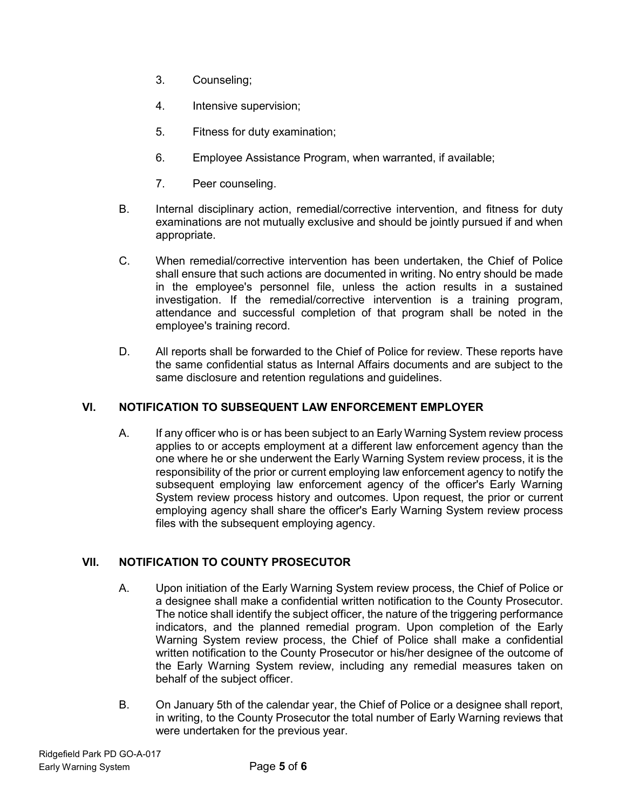- 3. Counseling;
- 4. Intensive supervision;
- 5. Fitness for duty examination;
- 6. Employee Assistance Program, when warranted, if available;
- 7. Peer counseling.
- B. Internal disciplinary action, remedial/corrective intervention, and fitness for duty examinations are not mutually exclusive and should be jointly pursued if and when appropriate.
- C. When remedial/corrective intervention has been undertaken, the Chief of Police shall ensure that such actions are documented in writing. No entry should be made in the employee's personnel file, unless the action results in a sustained investigation. If the remedial/corrective intervention is a training program, attendance and successful completion of that program shall be noted in the employee's training record.
- D. All reports shall be forwarded to the Chief of Police for review. These reports have the same confidential status as Internal Affairs documents and are subject to the same disclosure and retention regulations and guidelines.

## **VI. NOTIFICATION TO SUBSEQUENT LAW ENFORCEMENT EMPLOYER**

A. If any officer who is or has been subject to an Early Warning System review process applies to or accepts employment at a different law enforcement agency than the one where he or she underwent the Early Warning System review process, it is the responsibility of the prior or current employing law enforcement agency to notify the subsequent employing law enforcement agency of the officer's Early Warning System review process history and outcomes. Upon request, the prior or current employing agency shall share the officer's Early Warning System review process files with the subsequent employing agency.

# **VII. NOTIFICATION TO COUNTY PROSECUTOR**

- A. Upon initiation of the Early Warning System review process, the Chief of Police or a designee shall make a confidential written notification to the County Prosecutor. The notice shall identify the subject officer, the nature of the triggering performance indicators, and the planned remedial program. Upon completion of the Early Warning System review process, the Chief of Police shall make a confidential written notification to the County Prosecutor or his/her designee of the outcome of the Early Warning System review, including any remedial measures taken on behalf of the subject officer.
- B. On January 5th of the calendar year, the Chief of Police or a designee shall report, in writing, to the County Prosecutor the total number of Early Warning reviews that were undertaken for the previous year.